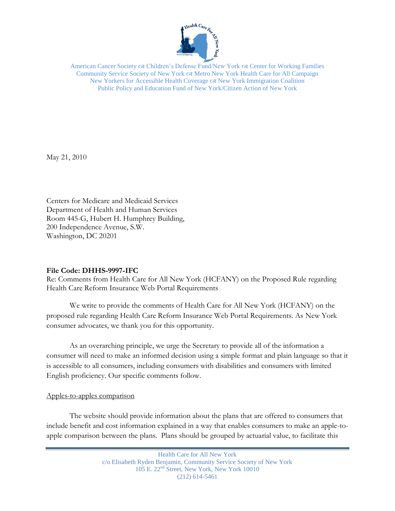

American Cancer Society  $\infty$  Children's Defense Fund/New York  $\infty$  Center for Working Families Community Service Society of New York Metro New York Health Care for All Campaign New Yorkers for Accessible Health Coverage  $\alpha$  New York Immigration Coalition Public Policy and Education Fund of New York/Citizen Action of New York

May 21, 2010

Centers for Medicare and Medicaid Services Department of Health and Human Services Room 445-G, Hubert H. Humphrey Building, 200 Independence Avenue, S.W. Washington, DC 20201

#### **File Code: DHHS-9997-IFC**

Re: Comments from Health Care for All New York (HCFANY) on the Proposed Rule regarding Health Care Reform Insurance Web Portal Requirements

We write to provide the comments of Health Care for All New York (HCFANY) on the proposed rule regarding Health Care Reform Insurance Web Portal Requirements. As New York consumer advocates, we thank you for this opportunity.

As an overarching principle, we urge the Secretary to provide all of the information a consumer will need to make an informed decision using a simple format and plain language so that it is accessible to all consumers, including consumers with disabilities and consumers with limited English proficiency. Our specific comments follow.

# Apples-to-apples comparison

The website should provide information about the plans that are offered to consumers that include benefit and cost information explained in a way that enables consumers to make an apple-toapple comparison between the plans. Plans should be grouped by actuarial value, to facilitate this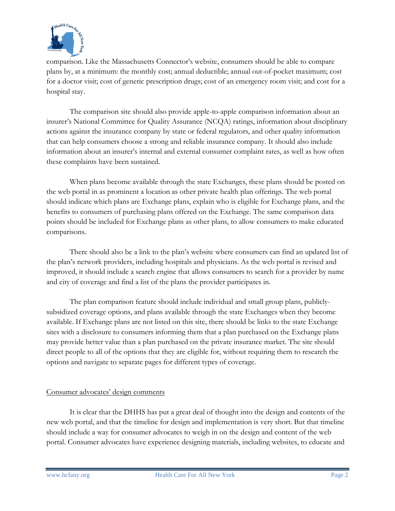

comparison. Like the Massachusetts Connector's website, consumers should be able to compare plans by, at a minimum: the monthly cost; annual deductible; annual out-of-pocket maximum; cost for a doctor visit; cost of generic prescription drugs; cost of an emergency room visit; and cost for a hospital stay.

The comparison site should also provide apple-to-apple comparison information about an insurer's National Committee for Quality Assurance (NCQA) ratings, information about disciplinary actions against the insurance company by state or federal regulators, and other quality information that can help consumers choose a strong and reliable insurance company. It should also include information about an insurer's internal and external consumer complaint rates, as well as how often these complaints have been sustained.

When plans become available through the state Exchanges, these plans should be posted on the web portal in as prominent a location as other private health plan offerings. The web portal should indicate which plans are Exchange plans, explain who is eligible for Exchange plans, and the benefits to consumers of purchasing plans offered on the Exchange. The same comparison data points should be included for Exchange plans as other plans, to allow consumers to make educated comparisons.

There should also be a link to the plan's website where consumers can find an updated list of the plan's network providers, including hospitals and physicians. As the web portal is revised and improved, it should include a search engine that allows consumers to search for a provider by name and city of coverage and find a list of the plans the provider participates in.

The plan comparison feature should include individual and small group plans, publiclysubsidized coverage options, and plans available through the state Exchanges when they become available. If Exchange plans are not listed on this site, there should be links to the state Exchange sites with a disclosure to consumers informing them that a plan purchased on the Exchange plans may provide better value than a plan purchased on the private insurance market. The site should direct people to all of the options that they are eligible for, without requiring them to research the options and navigate to separate pages for different types of coverage.

# Consumer advocates' design comments

It is clear that the DHHS has put a great deal of thought into the design and contents of the new web portal, and that the timeline for design and implementation is very short. But that timeline should include a way for consumer advocates to weigh in on the design and content of the web portal. Consumer advocates have experience designing materials, including websites, to educate and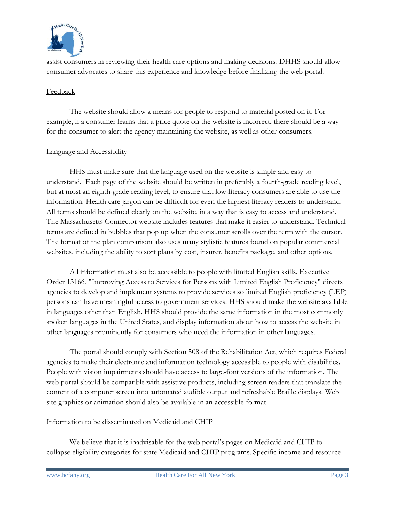

assist consumers in reviewing their health care options and making decisions. DHHS should allow consumer advocates to share this experience and knowledge before finalizing the web portal.

### Feedback

The website should allow a means for people to respond to material posted on it. For example, if a consumer learns that a price quote on the website is incorrect, there should be a way for the consumer to alert the agency maintaining the website, as well as other consumers.

## Language and Accessibility

HHS must make sure that the language used on the website is simple and easy to understand. Each page of the website should be written in preferably a fourth-grade reading level, but at most an eighth-grade reading level, to ensure that low-literacy consumers are able to use the information. Health care jargon can be difficult for even the highest-literacy readers to understand. All terms should be defined clearly on the website, in a way that is easy to access and understand. The Massachusetts Connector website includes features that make it easier to understand. Technical terms are defined in bubbles that pop up when the consumer scrolls over the term with the cursor. The format of the plan comparison also uses many stylistic features found on popular commercial websites, including the ability to sort plans by cost, insurer, benefits package, and other options.

All information must also be accessible to people with limited English skills. Executive Order 13166, "Improving Access to Services for Persons with Limited English Proficiency" directs agencies to develop and implement systems to provide services so limited English proficiency (LEP) persons can have meaningful access to government services. HHS should make the website available in languages other than English. HHS should provide the same information in the most commonly spoken languages in the United States, and display information about how to access the website in other languages prominently for consumers who need the information in other languages.

The portal should comply with Section 508 of the Rehabilitation Act, which requires Federal agencies to make their electronic and information technology accessible to people with disabilities. People with vision impairments should have access to large-font versions of the information. The web portal should be compatible with assistive products, including screen readers that translate the content of a computer screen into automated audible output and refreshable Braille displays. Web site graphics or animation should also be available in an accessible format.

# Information to be disseminated on Medicaid and CHIP

We believe that it is inadvisable for the web portal's pages on Medicaid and CHIP to collapse eligibility categories for state Medicaid and CHIP programs. Specific income and resource